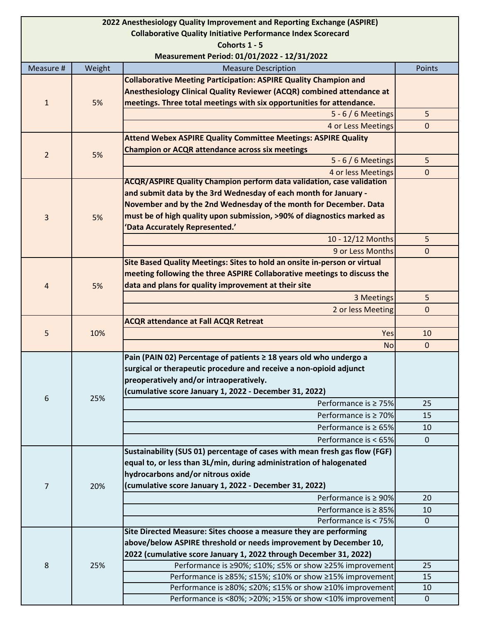| 2022 Anesthesiology Quality Improvement and Reporting Exchange (ASPIRE) |        |                                                                                                    |              |
|-------------------------------------------------------------------------|--------|----------------------------------------------------------------------------------------------------|--------------|
| <b>Collaborative Quality Initiative Performance Index Scorecard</b>     |        |                                                                                                    |              |
| Cohorts 1 - 5                                                           |        |                                                                                                    |              |
| Measurement Period: 01/01/2022 - 12/31/2022                             |        |                                                                                                    |              |
| Measure #                                                               | Weight | <b>Measure Description</b>                                                                         | Points       |
| $\mathbf{1}$                                                            | 5%     | <b>Collaborative Meeting Participation: ASPIRE Quality Champion and</b>                            |              |
|                                                                         |        | Anesthesiology Clinical Quality Reviewer (ACQR) combined attendance at                             |              |
|                                                                         |        | meetings. Three total meetings with six opportunities for attendance.                              |              |
|                                                                         |        | $5 - 6/6$ Meetings                                                                                 | 5            |
|                                                                         |        | 4 or Less Meetings                                                                                 | $\mathbf{0}$ |
| $\overline{2}$                                                          | 5%     | <b>Attend Webex ASPIRE Quality Committee Meetings: ASPIRE Quality</b>                              |              |
|                                                                         |        | <b>Champion or ACQR attendance across six meetings</b>                                             |              |
|                                                                         |        | 5 - 6 / 6 Meetings                                                                                 | 5            |
|                                                                         |        | 4 or less Meetings<br><b>ACQR/ASPIRE Quality Champion perform data validation, case validation</b> | $\mathbf{0}$ |
| 3                                                                       | 5%     | and submit data by the 3rd Wednesday of each month for January -                                   |              |
|                                                                         |        | November and by the 2nd Wednesday of the month for December. Data                                  |              |
|                                                                         |        | must be of high quality upon submission, >90% of diagnostics marked as                             |              |
|                                                                         |        | 'Data Accurately Represented.'                                                                     |              |
|                                                                         |        | 10 - 12/12 Months                                                                                  | 5            |
|                                                                         |        | 9 or Less Months                                                                                   | $\mathbf{0}$ |
|                                                                         |        | Site Based Quality Meetings: Sites to hold an onsite in-person or virtual                          |              |
| 4                                                                       | 5%     | meeting following the three ASPIRE Collaborative meetings to discuss the                           |              |
|                                                                         |        | data and plans for quality improvement at their site                                               |              |
|                                                                         |        | 3 Meetings                                                                                         | 5            |
|                                                                         |        | 2 or less Meeting                                                                                  | $\mathbf{0}$ |
| 5                                                                       | 10%    | <b>ACQR attendance at Fall ACQR Retreat</b>                                                        |              |
|                                                                         |        | Yes                                                                                                | 10           |
|                                                                         |        | <b>No</b>                                                                                          | $\mathbf 0$  |
|                                                                         |        | Pain (PAIN 02) Percentage of patients ≥ 18 years old who undergo a                                 |              |
| 6                                                                       | 25%    | surgical or therapeutic procedure and receive a non-opioid adjunct                                 |              |
|                                                                         |        | preoperatively and/or intraoperatively.                                                            |              |
|                                                                         |        | (cumulative score January 1, 2022 - December 31, 2022)                                             |              |
|                                                                         |        | Performance is $\geq 75\%$                                                                         | 25           |
|                                                                         |        | Performance is $\geq 70\%$                                                                         | 15           |
|                                                                         |        | Performance is $\geq 65\%$                                                                         | 10           |
|                                                                         |        | Performance is < 65%                                                                               | $\mathbf{0}$ |
|                                                                         |        | Sustainability (SUS 01) percentage of cases with mean fresh gas flow (FGF)                         |              |
| $\overline{7}$                                                          | 20%    | equal to, or less than 3L/min, during administration of halogenated                                |              |
|                                                                         |        | hydrocarbons and/or nitrous oxide                                                                  |              |
|                                                                         |        | (cumulative score January 1, 2022 - December 31, 2022)                                             |              |
|                                                                         |        | Performance is $\geq 90\%$                                                                         | 20           |
|                                                                         |        | Performance is $\geq 85\%$                                                                         | 10           |
|                                                                         |        | Performance is < 75%                                                                               | $\mathbf 0$  |
| 8                                                                       | 25%    | Site Directed Measure: Sites choose a measure they are performing                                  |              |
|                                                                         |        | above/below ASPIRE threshold or needs improvement by December 10,                                  |              |
|                                                                         |        | 2022 (cumulative score January 1, 2022 through December 31, 2022)                                  |              |
|                                                                         |        | Performance is ≥90%; ≤10%; ≤5% or show ≥25% improvement                                            | 25           |
|                                                                         |        | Performance is ≥85%; ≤15%; ≤10% or show ≥15% improvement                                           | 15           |
|                                                                         |        | Performance is ≥80%; ≤20%; ≤15% or show ≥10% improvement                                           | 10           |
|                                                                         |        | Performance is <80%; >20%; >15% or show <10% improvement                                           | $\mathbf 0$  |